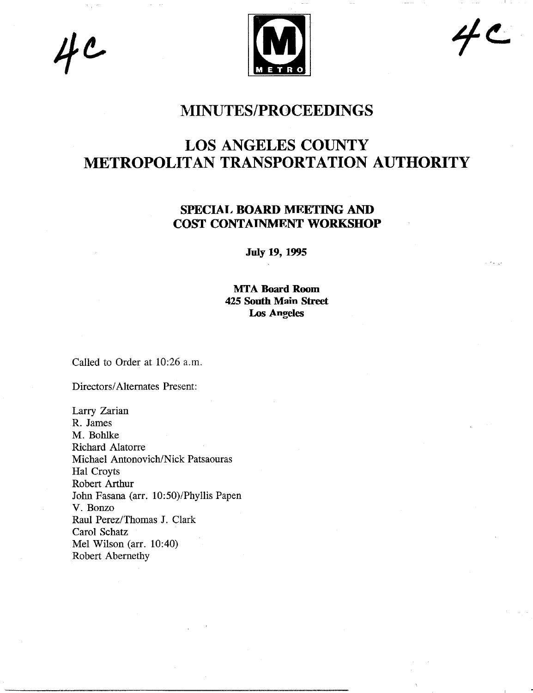$4c$ 



 $4c$ 

## **MINUTES/PROCEEDINGS**

# **LOS ANGELES COUNTY METROPOLITAN TRANSPORTATION AUTHORITY**

## SPECIAL BOARD MEETING AND **COST CONTAINMENT** WORKSHOP

**July 19, 1995**

**MTA Board Room 425 South Main Street** Los Angeles

Called to Order at 10:26 a.m.

Directors/Alternates Present:

Larry Zarian R. James M. Bohlke Richard Alatorre Michael Antonovich/Nick Patsaouras Hal Croyts Robert Arthur John Fasana (arr. 10:50)/Phyllis Papen V. Bonzo Raul Perez/Thomas J. Clark Carol Schatz Mel Wilson (arr. 10:40) Robert Abernethy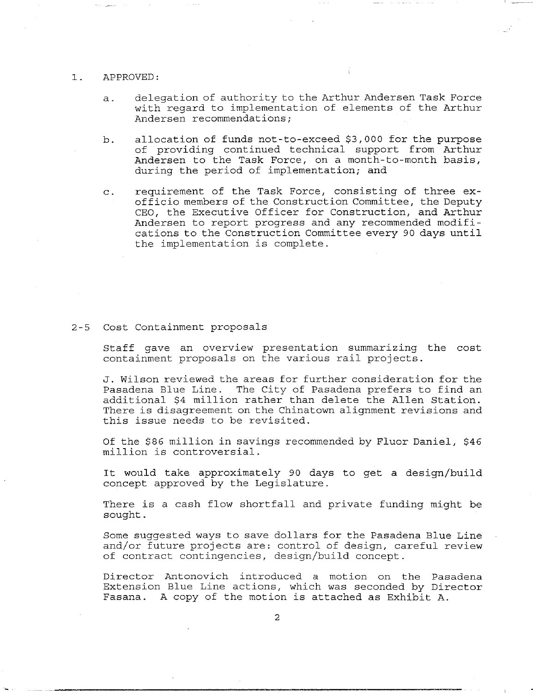#### $\mathbf{1}$ . APPROVED:

- a. delegation of authority to the Arthur Andersen Task Force with regard to implementation of elements of the Arthur Andersen recommendations;
- b. allocation of funds not-to-exceed \$3,000 for the purpose of providing continued technical support from Arthur Andersen to the Task Force, on a month-to-month basis, during the period of implementation; and
- c. requirement of the Task Force, consisting of three exofficio members of the Construction Committee, the Deputy CEO, the Executive Officer for Construction, and Arthur Andersen to report progress and any recommended modifications to the Construction Committee every 90 days until the implementation is complete.

### 2-5 Cost Containment proposals

Staff gave an overview presentation summarizing the cost containment proposals on the various rail projects.

J. Wilson reviewed the areas for further consideration for the Pasadena Blue Line. The City of Pasadena prefers to find an additional \$4 million rather than delete the Allen Station. There is disagreement on the Chinatown alignment revisions and this issue needs to be revisited.

Of the \$86 million in savings recommended by Fluor Daniel, \$46 million is controversial.

It would take approximately 90 days to get a design/build concept approved by the Legislature.

There is a cash flow shortfall and private funding might be sought.

Some suggested ways to save dollars for the Pasadena Blue Line and/or future projects are: control of design, careful review of contract contingencies, design/build concept.

Director Amtonovich introduced a motion on the Pasadena Extension Blue Line actions, which was seconded by Director Fasana. A copy of the motion is attached as Exhibit A.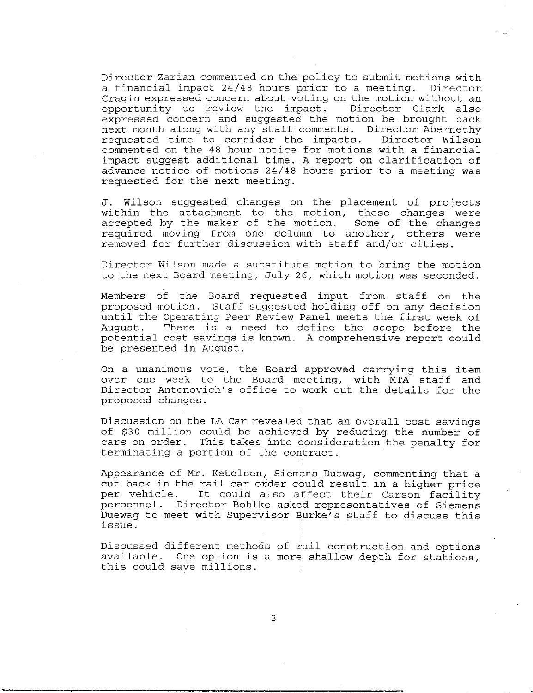Director Zarian commented on the policy to submit motions with a financial impact 24/48 hours prior to a meeting. Director Cragin expressed concern about voting on the motion without an opportunity to review the impact. Director Clark also expressed concern and suggested the motion be brought back next month along with any staff comments. Director Abernethy<br>requested time to consider the impacts. Director Wilson requested time to consider the impacts. commented on the 48 hour notice for motions with a financial impact suggest additional time. A report on clarification of advance notice of motions 24/48 hours prior to a meeting was requested for the next meeting.

J. Wilson suggested changes on the placement of projects within the attachment to the motion, these changes were accepted by the maker of the motion. Some of the changes required moving from one column to another, others were removed for further discussion with staff and/or cities.

Director Wilson made a substitute motion to bring the motion to the next Board meeting, July 26, which motion was seconded.

Members of the Board requested input from staff on the proposed motion. Staff suggested holding off on any decision until the Operating Peer Review Panel meets the first week of August. There is a need to define the scope before the potential cost savings is known. A comprehensive report could be presented in August.

On a unanimous vote, the Board approved carrying this item over one week to the Board meeting, with MTA staff and Director Antonovich's office to work out the details for the proposed changes.

Discussion on the LA Car revealed that an overall cost savings of \$30 million could be achieved by reducing the number of cars on order. This takes into consideration the penalty for terminating a portion of the contract.

Appearance of Mr. Ketelsen, Siemens Duewag, commenting that a cut back in the rail car order could result in a higher price per vehicle. It could also affect their Carson facility personnel. Director Bohlke asked representatives of Siemens Duewag to meet with Supervisor Burke's staff to discuss this issue.

Discussed different methods of rail construction and options available. One option is a more shallow depth for stations, this could save millions.

3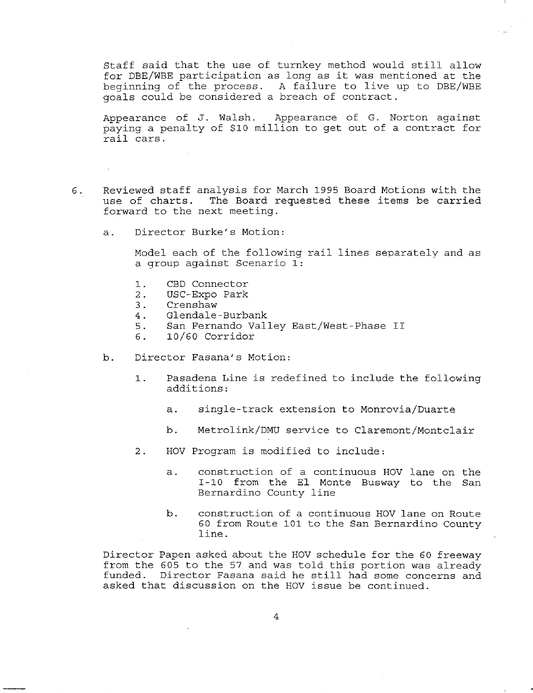Staff said that the use of turnkey method would still allow for DBE/WBE participation as long as it was mentioned at the beginning of the process. A failure to live up to DBE/WBE goals could be considered a breach of contract.

Appearance of J. Walsh. Appearance of G. Norton against paying a penalty of \$i0 million to get out of a contract for rail cars.

- 6. Reviewed staff analysis for March 1995 Board Motions with the use of charts. The Board requested these items be carried forward to the next meeting.
	- a. Director Burke's Motion:

Model each of the following rail lines separately and as a qroup against Scenario I:

- CBD Connector  $1$ .
- USC-Expo Park  $2.$
- $3.$ Crenshaw
- Glendale-Burbank  $4.$
- 5. San Fernando Valley East/West-Phase II
- 10/60 Corridor б.
- b. Director Fasana's Motion:
	- $1.$ Pasadena Line is redefined to include the following additions:
		- a. single-track extension to Monrovia/Duarte
		- b. Metrolink/DMU service to Claremont/Montclair
	- 2. HOV Program is modified to include:
		- a. construction of a continuous HOV lane on the 1-10 from the E1 Monte Busway to the San Bernardino County line
		- b. construction of a continuous HOV lane on Route 60 from Route i01 to the San Bernardino County line.

Director Papen asked about the HOV schedule for the 60 freeway from the 605 to the 57 and was told this portion was already funded. Director Fasana said he still had some concerns and asked that discussion on the HOV issue be continued.

 $\overline{4}$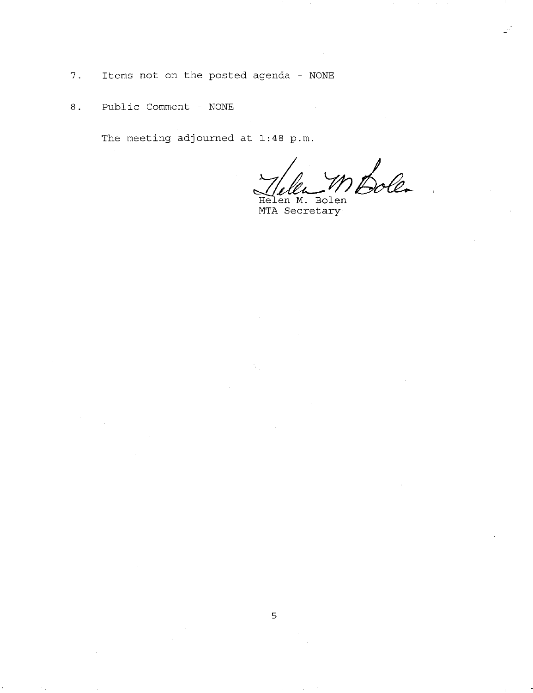- 7. Items not on the posted agenda NONE
- 8. Public Comment NONE

The meeting adjourned at 1:48 p.m.

Solen

Helen M. Bolen MTA Secretary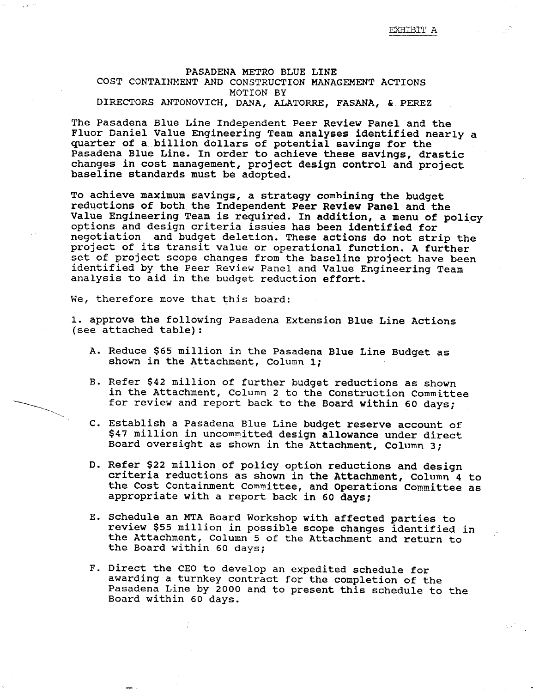## PASADENA METRO BLUE LINE COST CONTAINMENT AND CONSTRUCTION MANAGEMENT ACTIONS MOTION BY DIRECTORS ANTONOVICH, DANA, ALATORRE, FASANA, & PEREZ

The Pasadena Blue Line Independent Peer Review Panel and the Fluor Daniel Value Engineering Team analyses identified nearly a quarter of a billion dollars of potential savings for the Pasadena Blue Line. In order to achieve these savings, drastic changes in cost management, project design control and project baseline standards must be adopted.

To achieve maximum savings, a strategy combining the budget reductions of both the Independent Peer Review Panel and the Value Engineering Team is required. In addition, a menu of policy options and design criteria issues has been identified for negotiation and budget deletion. These actions do not strip the project of its transit value or operational function. A further set of project scope changes from the baseline project have been identified by thei Peer Review Panel and Value Engineering Team analysis to aid in the budget reduction effort.

We, therefore move that this board:

1. approve the following Pasadena Extension Blue Line Actions (see attached table):

- A. Reduce \$65 million in the Pasadena Blue Line Budget as shown in the Attachment, Column I;
- B. Refer \$42 million of further budget reductions as shown in the Attachment, Column 2 to the Construction Committee for review and report back to the Board within 60 days;
- C. Establish a! Pasadena Blue Line budget reserve account of \$47 million in uncommitted design allowance under direct Board oversight as shown in the Attachment, Column 3;
- D. Refer \$22 million of policy option reductions and design criteria reductions as shown in the Attachment, Column 4 to the Cost Containment Committee, and Operations Committee as appropriate with a report back in 60 days;
- E. Schedule an MTA Board Workshop with affected parties to review \$55 million in possible scope changes identified in the Attachment, Column 5 of the Attachment and return to the Board within 60 days;
- F. Direct the CEO to develop an expedited schedule for awarding a turnkey contract for the completion of the Pasadena Line by 2000 and to present this schedule to the Board within 60 days.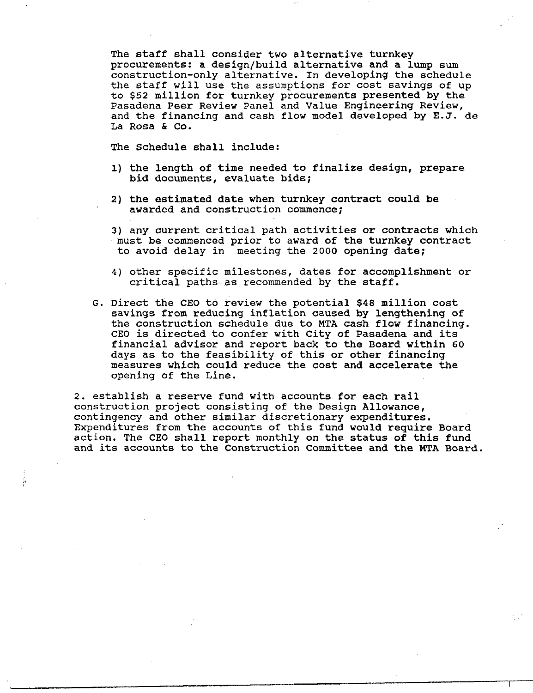The staff shall consider two alternative turnkey procurements: a design/build alternative and a lump sum construction-only alternative. In developing the schedule the staff will use the assumptions for cost savings of up to \$52 million for turnkey procurements presented by the Pasadena Peer Review Panel and Value Engineering Review, and the financing and cash flow model developed by E.J. de La Rosa & Co.

The Schedule shall include:

- l) the length of time needed to finalize design, prepare bid documents, evaluate bids;
- 2) the estimated date when turnkey contract could be awarded and construction commence;
- 3) any current critical path activities or contracts which must be commenced prior to award of the turnkey contract to avoid delay in meeting the 2000 opening date;
- 4) other specific milestones, dates for accomplishment or critical paths-as recommended by the staff.
- G. Direct the CEO to review the potential \$48 million cost savings from reducing inflation caused by lengthening of the construction schedule due to MTA cash flow financing. CEO is directed to confer with City of Pasadena and its financial advisor and report back to the Board within 60 days as to the feasibility of this or other financing measures which could reduce the cost and accelerate the opening of the Line.

2. establish a reserve fund with accounts for each rail construction project consisting of the Design Allowance, contingency and other similar discretionary expenditures. Expenditures from the accounts of this fund would require Board action. The CEO shall report monthly on the status of this fund and its accounts to the Construction Committee and the MTA Board.